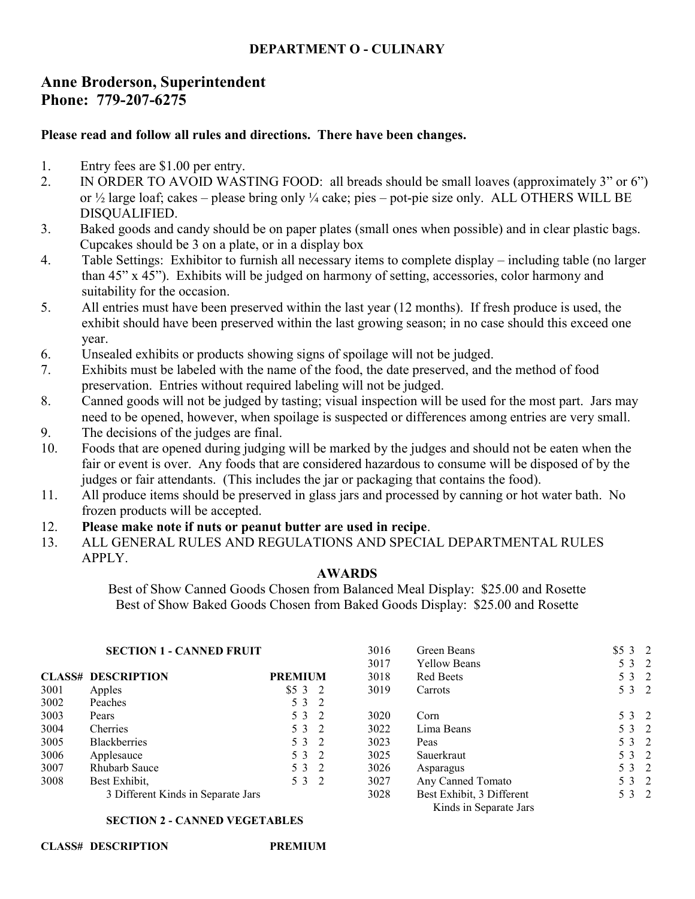## **DEPARTMENT O - CULINARY**

# **Anne Broderson, Superintendent Phone: 779-207-6275**

## **Please read and follow all rules and directions. There have been changes.**

- 1. Entry fees are \$1.00 per entry.
- 2. IN ORDER TO AVOID WASTING FOOD: all breads should be small loaves (approximately 3" or 6") or ½ large loaf; cakes – please bring only ¼ cake; pies – pot-pie size only. ALL OTHERS WILL BE DISQUALIFIED.
- 3. Baked goods and candy should be on paper plates (small ones when possible) and in clear plastic bags. Cupcakes should be 3 on a plate, or in a display box
- 4. Table Settings: Exhibitor to furnish all necessary items to complete display including table (no larger than 45" x 45"). Exhibits will be judged on harmony of setting, accessories, color harmony and suitability for the occasion.
- 5. All entries must have been preserved within the last year (12 months). If fresh produce is used, the exhibit should have been preserved within the last growing season; in no case should this exceed one year.
- 6. Unsealed exhibits or products showing signs of spoilage will not be judged.
- 7. Exhibits must be labeled with the name of the food, the date preserved, and the method of food preservation. Entries without required labeling will not be judged.
- 8. Canned goods will not be judged by tasting; visual inspection will be used for the most part. Jars may need to be opened, however, when spoilage is suspected or differences among entries are very small.
- 9. The decisions of the judges are final.
- 10. Foods that are opened during judging will be marked by the judges and should not be eaten when the fair or event is over. Any foods that are considered hazardous to consume will be disposed of by the judges or fair attendants. (This includes the jar or packaging that contains the food).
- 11. All produce items should be preserved in glass jars and processed by canning or hot water bath. No frozen products will be accepted.
- 12. **Please make note if nuts or peanut butter are used in recipe**.
- 13. ALL GENERAL RULES AND REGULATIONS AND SPECIAL DEPARTMENTAL RULES APPLY.

### **AWARDS**

Best of Show Canned Goods Chosen from Balanced Meal Display: \$25.00 and Rosette Best of Show Baked Goods Chosen from Baked Goods Display: \$25.00 and Rosette

### **SECTION 1 - CANNED FRUIT**

| <b>SECTION 1 - CANNED FRUIT</b> |                                    | 3016           | Green Beans | \$532                                               |       |  |
|---------------------------------|------------------------------------|----------------|-------------|-----------------------------------------------------|-------|--|
|                                 |                                    |                | 3017        | <b>Yellow Beans</b>                                 | 5 3 2 |  |
|                                 | <b>CLASS# DESCRIPTION</b>          | <b>PREMIUM</b> | 3018        | <b>Red Beets</b>                                    | 5 3 2 |  |
| 3001                            | Apples                             | \$532          | 3019        | Carrots                                             | 5 3 2 |  |
| 3002                            | Peaches                            | 5 3 2          |             |                                                     |       |  |
| 3003                            | Pears                              | 5 3 2          | 3020        | Corn                                                | 5 3 2 |  |
| 3004                            | Cherries                           | 5 3 2          | 3022        | Lima Beans                                          | 5 3 2 |  |
| 3005                            | <b>Blackberries</b>                | 5 3 2          | 3023        | Peas                                                | 5 3 2 |  |
| 3006                            | Applesauce                         | 5 3 2          | 3025        | Sauerkraut                                          | 5 3 2 |  |
| 3007                            | Rhubarb Sauce                      | 5 3 2          | 3026        | Asparagus                                           | 5 3 2 |  |
| 3008                            | Best Exhibit,                      | 5 3 2          | 3027        | Any Canned Tomato                                   | 5 3 2 |  |
|                                 | 3 Different Kinds in Separate Jars |                | 3028        | Best Exhibit, 3 Different<br>Kinds in Separate Jars | 5 3 2 |  |

#### **SECTION 2 - CANNED VEGETABLES**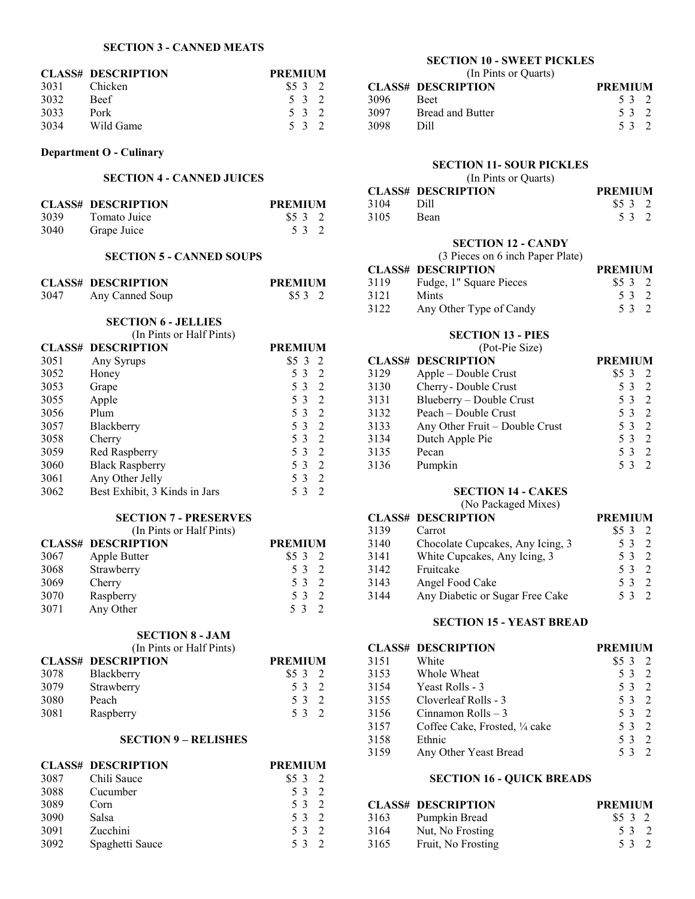#### **SECTION 3 - CANNED MEATS**

|      | <b>CLASS# DESCRIPTION</b> | <b>PREMIUM</b> |
|------|---------------------------|----------------|
| 3031 | Chicken                   | \$532          |
| 3032 | <b>Beef</b>               | 5 3 2          |
| 3033 | Pork                      | 5 3 2          |
| 3034 | Wild Game                 | 5 3 2          |

### **Department O - Culinary**

## **SECTION 4 - CANNED JUICES**

|      | <b>CLASS# DESCRIPTION</b> | <b>PREMIUM</b> |
|------|---------------------------|----------------|
| 3039 | Tomato Juice              | \$5 3 2        |
| 3040 | Grape Juice               | 532            |

### **SECTION 5 - CANNED SOUPS**

|      | <b>CLASS# DESCRIPTION</b> | <b>PREMIUM</b> |
|------|---------------------------|----------------|
| 3047 | Any Canned Soup           | \$53 2         |

### **SECTION 6 - JELLIES**

| (In Pints or Half Pints) |                               |                     |
|--------------------------|-------------------------------|---------------------|
|                          | <b>CLASS# DESCRIPTION</b>     | <b>PREMIUM</b>      |
| 3051                     | Any Syrups                    | \$5 3<br>- 2.       |
| 3052                     | Honey                         | $\mathcal{L}$<br>53 |
| 3053                     | Grape                         | 2<br>53             |
| 3055                     | Apple                         | 2<br>53             |
| 3056                     | Plum                          | 2<br>53             |
| 3057                     | Blackberry                    | $\mathcal{L}$<br>53 |
| 3058                     | Cherry                        | $\mathcal{D}$<br>53 |
| 3059                     | Red Raspberry                 | 53<br>$\mathcal{D}$ |
| 3060                     | <b>Black Raspberry</b>        | $\mathcal{L}$<br>53 |
| 3061                     | Any Other Jelly               | $\mathcal{D}$<br>53 |
| 3062                     | Best Exhibit, 3 Kinds in Jars | $\mathcal{L}$<br>3  |

### **SECTION 7 - PRESERVES**

(In Pints or Half Pints)

|      | <b>CLASS# DESCRIPTION</b> | <b>PREMIUM</b> |
|------|---------------------------|----------------|
| 3067 | Apple Butter              | \$532          |
| 3068 | Strawberry                | 5 3 2          |
| 3069 | Cherry                    | 5 3 2          |
| 3070 | Raspberry                 | 5 3 2          |
| 3071 | Any Other                 | 532            |

### **SECTION 8 - JAM**

| $9110110 - 91111$ |                           |                |
|-------------------|---------------------------|----------------|
|                   | (In Pints or Half Pints)  |                |
|                   | <b>CLASS# DESCRIPTION</b> | <b>PREMIUM</b> |
|                   | 3078 Blackberry           | \$532          |

| Blackberry |  |                                |
|------------|--|--------------------------------|
| Strawberry |  |                                |
| Peach      |  |                                |
| Raspberry  |  |                                |
|            |  | \$532<br>5 3 2<br>53 2<br>53 2 |

### **SECTION 9 – RELISHES**

|      | <b>CLASS# DESCRIPTION</b> | <b>PREMIUM</b> |
|------|---------------------------|----------------|
| 3087 | Chili Sauce               | \$532          |
| 3088 | Cucumber                  | 5 3 2          |
| 3089 | Corn                      | 5 3 2          |
| 3090 | Salsa                     | 5 3 2          |
| 3091 | Zucchini                  | 5 3 2          |
| 3092 | Spaghetti Sauce           | 53             |

### **SECTION 10 - SWEET PICKLES**

| (In Pints or Quarts) |                           |                |  |
|----------------------|---------------------------|----------------|--|
|                      | <b>CLASS# DESCRIPTION</b> | <b>PREMIUM</b> |  |
| 3096                 | <b>Beet</b>               | 53 2           |  |
| 3097                 | <b>Bread and Butter</b>   | 5 3 2          |  |
| 3098                 | Dill                      | 53 2           |  |

#### **SECTION 11- SOUR PICKLES**

|  | (In Pints or Quarts) |
|--|----------------------|
|--|----------------------|

|      | <b>CLASS# DESCRIPTION</b> | <b>PREMIUM</b> |
|------|---------------------------|----------------|
| 3104 | - Dill                    | \$532          |
| 3105 | <b>Bean</b>               | 53 2           |

#### **SECTION 12 - CANDY**

(3 Pieces on 6 inch Paper Plate)

|      | <b>CLASS# DESCRIPTION</b> | <b>PREMIUM</b> |  |
|------|---------------------------|----------------|--|
| 3119 | Fudge, 1" Square Pieces   | \$532          |  |
| 3121 | Mints                     | 53 2           |  |
| 3122 | Any Other Type of Candy   | 5 3 2          |  |

#### **SECTION 13 - PIES**

(Pot-Pie Size)

|      | <b>CLASS# DESCRIPTION</b>      | <b>PREMIUM</b> |                          |
|------|--------------------------------|----------------|--------------------------|
| 3129 | Apple – Double Crust           | $$5\,3$        | $\overline{\phantom{a}}$ |
| 3130 | Cherry - Double Crust          | 5 3 2          |                          |
| 3131 | Blueberry - Double Crust       | 5 3 2          |                          |
| 3132 | Peach - Double Crust           | 5 3 2          |                          |
| 3133 | Any Other Fruit – Double Crust | 5 3 2          |                          |
| 3134 | Dutch Apple Pie                | 5 3 2          |                          |
| 3135 | Pecan                          | 5 3            | $\overline{\phantom{a}}$ |
| 3136 | Pumpkin                        | 53             | $\overline{\phantom{a}}$ |

#### **SECTION 14 - CAKES**

(No Packaged Mixes)

|      | <b>CLASS# DESCRIPTION</b>        | <b>PREMIUM</b> |          |
|------|----------------------------------|----------------|----------|
| 3139 | Carrot                           | $$5\,3$        |          |
| 3140 | Chocolate Cupcakes, Any Icing, 3 | 53             | $\gamma$ |
| 3141 | White Cupcakes, Any Icing, 3     | 53             | $\gamma$ |
| 3142 | Fruitcake                        | 53             | $\gamma$ |
| 3143 | Angel Food Cake                  | 53             |          |
| 3144 | Any Diabetic or Sugar Free Cake  | 53             |          |

### **SECTION 15 - YEAST BREAD**

|      | <b>CLASS# DESCRIPTION</b>      | <b>PREMIUM</b>                  |
|------|--------------------------------|---------------------------------|
| 3151 | White                          | $$5\,3$                         |
| 3153 | Whole Wheat                    | 5 3<br>$\overline{\phantom{a}}$ |
| 3154 | Yeast Rolls - 3                | 5 3 2                           |
| 3155 | Cloverleaf Rolls - 3           | 5 3 2                           |
| 3156 | Cinnamon Rolls $-3$            | 532                             |
| 3157 | Coffee Cake, Frosted, 1/4 cake | 5 3                             |
| 3158 | Ethnic                         | 5 3                             |
| 3159 | Any Other Yeast Bread          | 53                              |

#### **SECTION 16 - QUICK BREADS**

|      | <b>CLASS# DESCRIPTION</b> | <b>PREMIUM</b> |
|------|---------------------------|----------------|
| 3163 | Pumpkin Bread             | \$5 3 2        |
| 3164 | Nut, No Frosting          | 5 3 2          |
| 3165 | Fruit, No Frosting        | 5 3 2          |